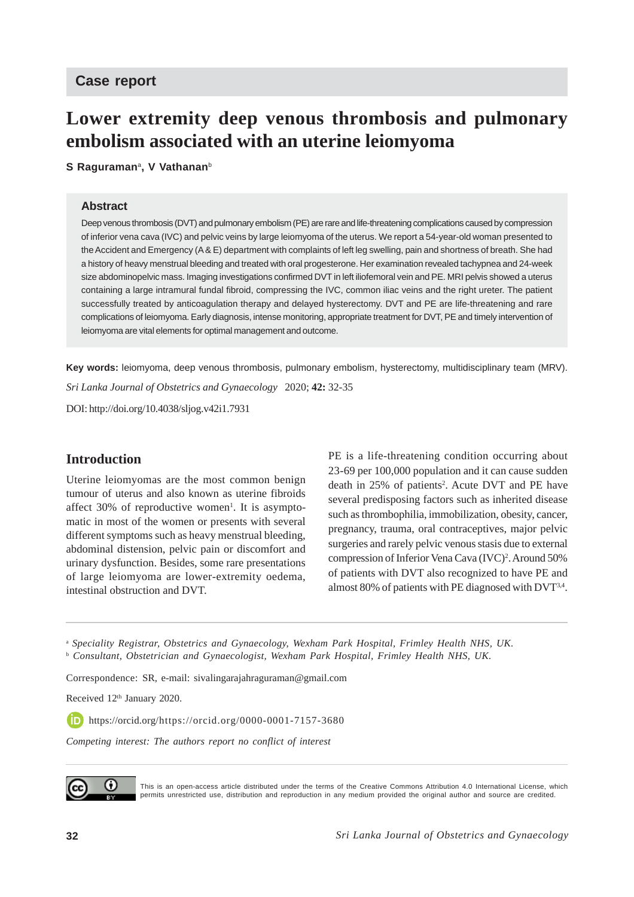# **Case report**

# **Lower extremity deep venous thrombosis and pulmonary embolism associated with an uterine leiomyoma**

**S Raguraman**a**, V Vathanan**<sup>b</sup>

#### **Abstract**

Deep venous thrombosis (DVT) and pulmonary embolism (PE) are rare and life-threatening complications caused by compression of inferior vena cava (IVC) and pelvic veins by large leiomyoma of the uterus. We report a 54-year-old woman presented to the Accident and Emergency (A & E) department with complaints of left leg swelling, pain and shortness of breath. She had a history of heavy menstrual bleeding and treated with oral progesterone. Her examination revealed tachypnea and 24-week size abdominopelvic mass. Imaging investigations confirmed DVT in left iliofemoral vein and PE. MRI pelvis showed a uterus containing a large intramural fundal fibroid, compressing the IVC, common iliac veins and the right ureter. The patient successfully treated by anticoagulation therapy and delayed hysterectomy. DVT and PE are life-threatening and rare complications of leiomyoma. Early diagnosis, intense monitoring, appropriate treatment for DVT, PE and timely intervention of leiomyoma are vital elements for optimal management and outcome.

*Sri Lanka Journal of Obstetrics and Gynaecology* 2020; **42:** 32-35 **Key words:** leiomyoma, deep venous thrombosis, pulmonary embolism, hysterectomy, multidisciplinary team (MRV).

DOI: http://doi.org/10.4038/sljog.v42i1.7931

### **Introduction**

Uterine leiomyomas are the most common benign tumour of uterus and also known as uterine fibroids affect 30% of reproductive women<sup>1</sup>. It is asymptomatic in most of the women or presents with several different symptoms such as heavy menstrual bleeding, abdominal distension, pelvic pain or discomfort and urinary dysfunction. Besides, some rare presentations of large leiomyoma are lower-extremity oedema, intestinal obstruction and DVT.

PE is a life-threatening condition occurring about 23-69 per 100,000 population and it can cause sudden death in 25% of patients<sup>2</sup>. Acute DVT and PE have several predisposing factors such as inherited disease such as thrombophilia, immobilization, obesity, cancer, pregnancy, trauma, oral contraceptives, major pelvic surgeries and rarely pelvic venous stasis due to external compression of Inferior Vena Cava (IVC)<sup>2</sup>. Around 50% of patients with DVT also recognized to have PE and almost 80% of patients with PE diagnosed with DVT3,4.

<sup>a</sup> *Speciality Registrar, Obstetrics and Gynaecology, Wexham Park Hospital, Frimley Health NHS, UK.* b  *Consultant, Obstetrician and Gynaecologist, Wexham Park Hospital, Frimley Health NHS, UK.*

Correspondence: SR, e-mail: sivalingarajahraguraman@gmail.com

Received 12<sup>th</sup> January 2020.

https://orcid.org/https://orcid.org/0000-0001-7157-3680

*Competing interest: The authors report no conflict of interest*



This is an open-access article distributed under the terms of the Creative Commons Attribution 4.0 International License, which permits unrestricted use, distribution and reproduction in any medium provided the original author and source are credited.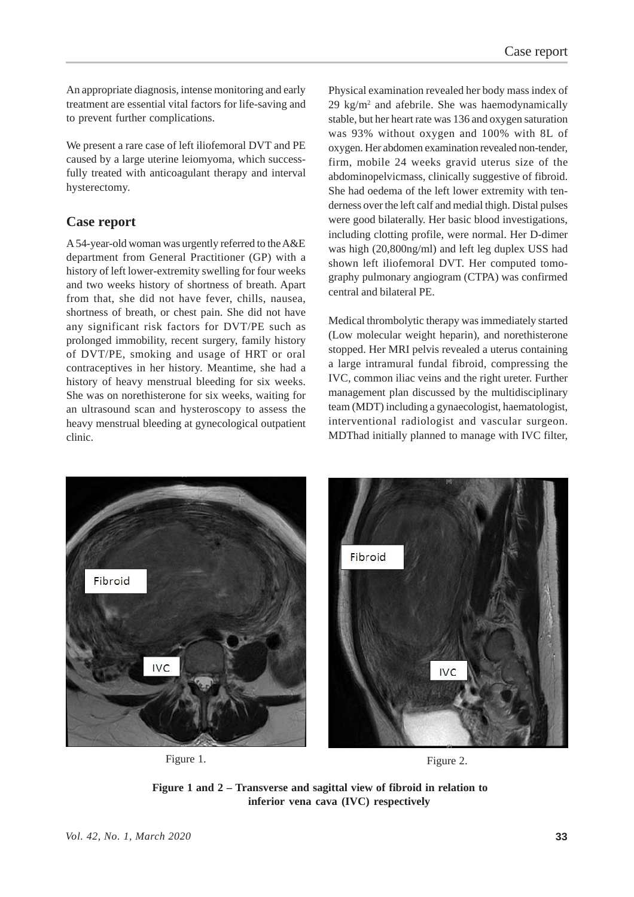An appropriate diagnosis, intense monitoring and early treatment are essential vital factors for life-saving and to prevent further complications.

We present a rare case of left iliofemoral DVT and PE caused by a large uterine leiomyoma, which successfully treated with anticoagulant therapy and interval hysterectomy.

### **Case report**

A 54-year-old woman was urgently referred to the A&E department from General Practitioner (GP) with a history of left lower-extremity swelling for four weeks and two weeks history of shortness of breath. Apart from that, she did not have fever, chills, nausea, shortness of breath, or chest pain. She did not have any significant risk factors for DVT/PE such as prolonged immobility, recent surgery, family history of DVT/PE, smoking and usage of HRT or oral contraceptives in her history. Meantime, she had a history of heavy menstrual bleeding for six weeks. She was on norethisterone for six weeks, waiting for an ultrasound scan and hysteroscopy to assess the heavy menstrual bleeding at gynecological outpatient clinic.

Physical examination revealed her body mass index of 29 kg/m2 and afebrile. She was haemodynamically stable, but her heart rate was 136 and oxygen saturation was 93% without oxygen and 100% with 8L of oxygen. Her abdomen examination revealed non-tender, firm, mobile 24 weeks gravid uterus size of the abdominopelvicmass, clinically suggestive of fibroid. She had oedema of the left lower extremity with tenderness over the left calf and medial thigh. Distal pulses were good bilaterally. Her basic blood investigations, including clotting profile, were normal. Her D-dimer was high (20,800ng/ml) and left leg duplex USS had shown left iliofemoral DVT. Her computed tomography pulmonary angiogram (CTPA) was confirmed central and bilateral PE.

Medical thrombolytic therapy was immediately started (Low molecular weight heparin), and norethisterone stopped. Her MRI pelvis revealed a uterus containing a large intramural fundal fibroid, compressing the IVC, common iliac veins and the right ureter. Further management plan discussed by the multidisciplinary team (MDT) including a gynaecologist, haematologist, interventional radiologist and vascular surgeon. MDThad initially planned to manage with IVC filter,



Figure 1. Figure 2.

**Figure 1 and 2 – Transverse and sagittal view of fibroid in relation to inferior vena cava (IVC) respectively**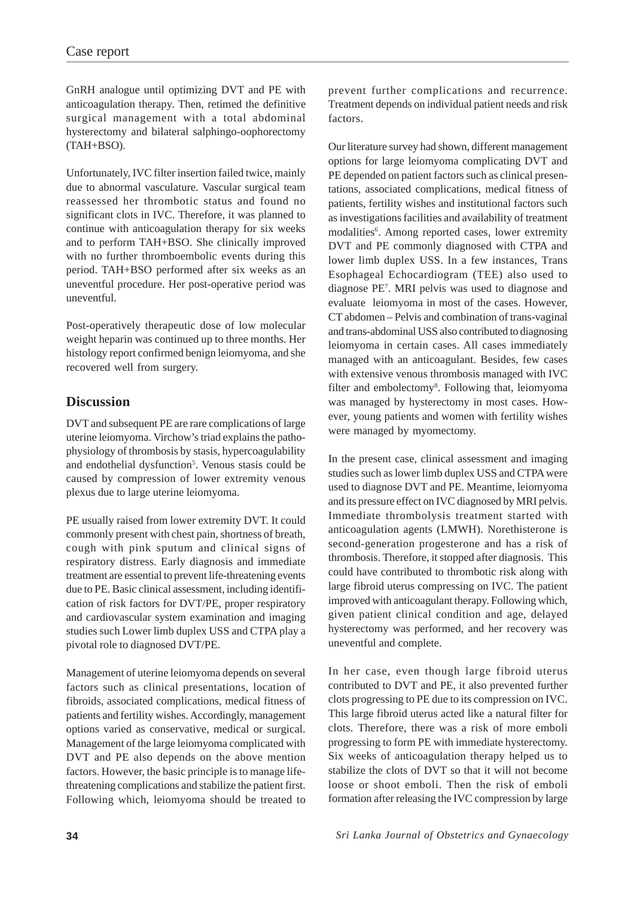GnRH analogue until optimizing DVT and PE with anticoagulation therapy. Then, retimed the definitive surgical management with a total abdominal hysterectomy and bilateral salphingo-oophorectomy (TAH+BSO).

Unfortunately, IVC filter insertion failed twice, mainly due to abnormal vasculature. Vascular surgical team reassessed her thrombotic status and found no significant clots in IVC. Therefore, it was planned to continue with anticoagulation therapy for six weeks and to perform TAH+BSO. She clinically improved with no further thromboembolic events during this period. TAH+BSO performed after six weeks as an uneventful procedure. Her post-operative period was uneventful.

Post-operatively therapeutic dose of low molecular weight heparin was continued up to three months. Her histology report confirmed benign leiomyoma, and she recovered well from surgery.

# **Discussion**

DVT and subsequent PE are rare complications of large uterine leiomyoma. Virchow's triad explains the pathophysiology of thrombosis by stasis, hypercoagulability and endothelial dysfunction<sup>5</sup>. Venous stasis could be caused by compression of lower extremity venous plexus due to large uterine leiomyoma.

PE usually raised from lower extremity DVT. It could commonly present with chest pain, shortness of breath, cough with pink sputum and clinical signs of respiratory distress. Early diagnosis and immediate treatment are essential to prevent life-threatening events due to PE. Basic clinical assessment, including identification of risk factors for DVT/PE, proper respiratory and cardiovascular system examination and imaging studies such Lower limb duplex USS and CTPA play a pivotal role to diagnosed DVT/PE.

Management of uterine leiomyoma depends on several factors such as clinical presentations, location of fibroids, associated complications, medical fitness of patients and fertility wishes. Accordingly, management options varied as conservative, medical or surgical. Management of the large leiomyoma complicated with DVT and PE also depends on the above mention factors. However, the basic principle is to manage lifethreatening complications and stabilize the patient first. Following which, leiomyoma should be treated to

prevent further complications and recurrence. Treatment depends on individual patient needs and risk factors.

Our literature survey had shown, different management options for large leiomyoma complicating DVT and PE depended on patient factors such as clinical presentations, associated complications, medical fitness of patients, fertility wishes and institutional factors such as investigations facilities and availability of treatment modalities<sup>6</sup>. Among reported cases, lower extremity DVT and PE commonly diagnosed with CTPA and lower limb duplex USS. In a few instances, Trans Esophageal Echocardiogram (TEE) also used to diagnose PE7 . MRI pelvis was used to diagnose and evaluate leiomyoma in most of the cases. However, CT abdomen – Pelvis and combination of trans-vaginal and trans-abdominal USS also contributed to diagnosing leiomyoma in certain cases. All cases immediately managed with an anticoagulant. Besides, few cases with extensive venous thrombosis managed with IVC filter and embolectomy<sup>8</sup>. Following that, leiomyoma was managed by hysterectomy in most cases. However, young patients and women with fertility wishes were managed by myomectomy.

In the present case, clinical assessment and imaging studies such as lower limb duplex USS and CTPA were used to diagnose DVT and PE. Meantime, leiomyoma and its pressure effect on IVC diagnosed by MRI pelvis. Immediate thrombolysis treatment started with anticoagulation agents (LMWH). Norethisterone is second-generation progesterone and has a risk of thrombosis. Therefore, it stopped after diagnosis. This could have contributed to thrombotic risk along with large fibroid uterus compressing on IVC. The patient improved with anticoagulant therapy. Following which, given patient clinical condition and age, delayed hysterectomy was performed, and her recovery was uneventful and complete.

In her case, even though large fibroid uterus contributed to DVT and PE, it also prevented further clots progressing to PE due to its compression on IVC. This large fibroid uterus acted like a natural filter for clots. Therefore, there was a risk of more emboli progressing to form PE with immediate hysterectomy. Six weeks of anticoagulation therapy helped us to stabilize the clots of DVT so that it will not become loose or shoot emboli. Then the risk of emboli formation after releasing the IVC compression by large